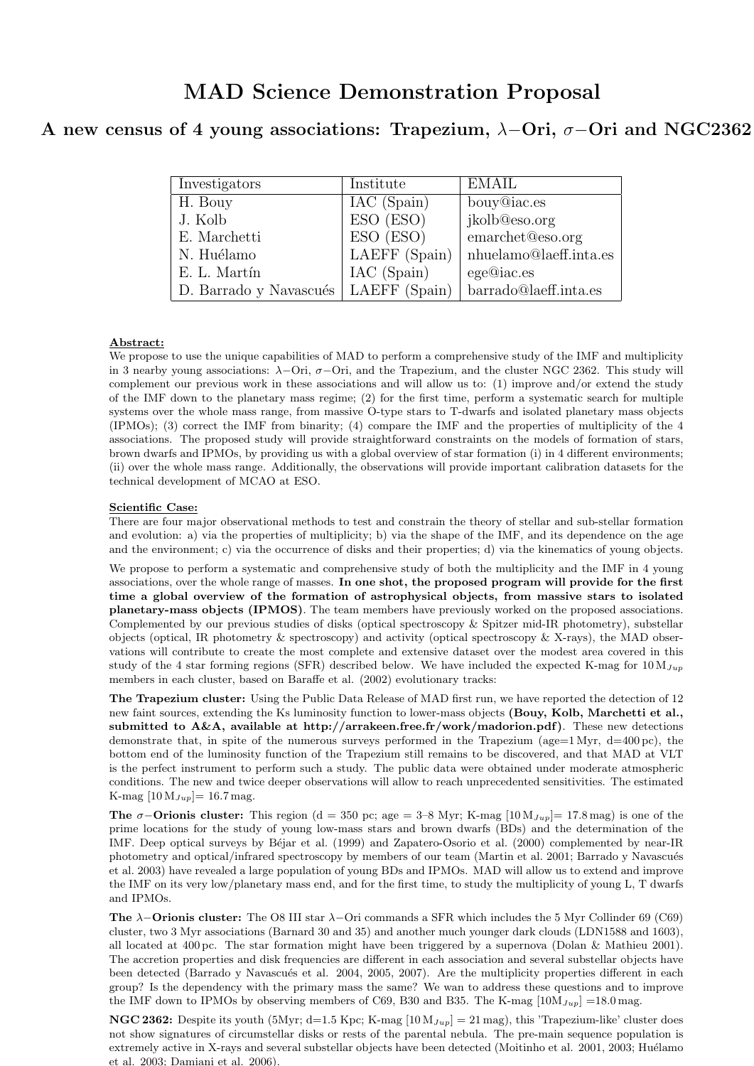# MAD Science Demonstration Proposal

## A new census of 4 young associations: Trapezium,  $\lambda$ -Ori,  $\sigma$ -Ori and NGC2362

| Investigators          | Institute     | <b>EMAIL</b>           |
|------------------------|---------------|------------------------|
| H. Bouy                | IAC (Spain)   | bouy@iac.es            |
| J. Kolb                | ESO (ESO)     | jkolb@eso.org          |
| E. Marchetti           | ESO (ESO)     | emarchet@eso.org       |
| N. Huélamo             | LAEFF (Spain) | nhuelamo@laeff.inta.es |
| E. L. Martín           | IAC (Spain)   | ege@iac.es             |
| D. Barrado y Navascués | LAEFF (Spain) | barrado@laeff.inta.es  |

### Abstract:

We propose to use the unique capabilities of MAD to perform a comprehensive study of the IMF and multiplicity in 3 nearby young associations:  $\lambda$ -Ori,  $\sigma$ -Ori, and the Trapezium, and the cluster NGC 2362. This study will complement our previous work in these associations and will allow us to: (1) improve and/or extend the study of the IMF down to the planetary mass regime; (2) for the first time, perform a systematic search for multiple systems over the whole mass range, from massive O-type stars to T-dwarfs and isolated planetary mass objects (IPMOs); (3) correct the IMF from binarity; (4) compare the IMF and the properties of multiplicity of the 4 associations. The proposed study will provide straightforward constraints on the models of formation of stars, brown dwarfs and IPMOs, by providing us with a global overview of star formation (i) in 4 different environments; (ii) over the whole mass range. Additionally, the observations will provide important calibration datasets for the technical development of MCAO at ESO.

### Scientific Case:

There are four major observational methods to test and constrain the theory of stellar and sub-stellar formation and evolution: a) via the properties of multiplicity; b) via the shape of the IMF, and its dependence on the age and the environment; c) via the occurrence of disks and their properties; d) via the kinematics of young objects.

We propose to perform a systematic and comprehensive study of both the multiplicity and the IMF in 4 young associations, over the whole range of masses. In one shot, the proposed program will provide for the first time a global overview of the formation of astrophysical objects, from massive stars to isolated planetary-mass objects (IPMOS). The team members have previously worked on the proposed associations. Complemented by our previous studies of disks (optical spectroscopy & Spitzer mid-IR photometry), substellar objects (optical, IR photometry & spectroscopy) and activity (optical spectroscopy & X-rays), the MAD observations will contribute to create the most complete and extensive dataset over the modest area covered in this study of the 4 star forming regions (SFR) described below. We have included the expected K-mag for  $10 M_{Jup}$ members in each cluster, based on Baraffe et al. (2002) evolutionary tracks:

The Trapezium cluster: Using the Public Data Release of MAD first run, we have reported the detection of 12 new faint sources, extending the Ks luminosity function to lower-mass objects (Bouy, Kolb, Marchetti et al., submitted to A&A, available at http://arrakeen.free.fr/work/madorion.pdf). These new detections demonstrate that, in spite of the numerous surveys performed in the Trapezium (age=1 Myr,  $d=400$  pc), the bottom end of the luminosity function of the Trapezium still remains to be discovered, and that MAD at VLT is the perfect instrument to perform such a study. The public data were obtained under moderate atmospheric conditions. The new and twice deeper observations will allow to reach unprecedented sensitivities. The estimated K-mag  $[10 \,\mathrm{M}_{Jup}] = 16.7 \,\mathrm{mag}$ .

The  $\sigma$ −Orionis cluster: This region (d = 350 pc; age = 3–8 Myr; K-mag [10 M $_{Jup}$ ]= 17.8 mag) is one of the prime locations for the study of young low-mass stars and brown dwarfs (BDs) and the determination of the IMF. Deep optical surveys by Béjar et al. (1999) and Zapatero-Osorio et al. (2000) complemented by near-IR photometry and optical/infrared spectroscopy by members of our team (Martin et al. 2001; Barrado y Navascués et al. 2003) have revealed a large population of young BDs and IPMOs. MAD will allow us to extend and improve the IMF on its very low/planetary mass end, and for the first time, to study the multiplicity of young L, T dwarfs and IPMOs.

The  $\lambda$ −Orionis cluster: The O8 III star  $\lambda$ −Ori commands a SFR which includes the 5 Myr Collinder 69 (C69) cluster, two 3 Myr associations (Barnard 30 and 35) and another much younger dark clouds (LDN1588 and 1603), all located at 400 pc. The star formation might have been triggered by a supernova (Dolan & Mathieu 2001). The accretion properties and disk frequencies are different in each association and several substellar objects have been detected (Barrado y Navascués et al. 2004, 2005, 2007). Are the multiplicity properties different in each group? Is the dependency with the primary mass the same? We wan to address these questions and to improve the IMF down to IPMOs by observing members of C69, B30 and B35. The K-mag  $[10M_{Jup}] =18.0$  mag.

**NGC 2362:** Despite its youth (5Myr; d=1.5 Kpc; K-mag  $[10 M_{Jup}] = 21$  mag), this 'Trapezium-like' cluster does not show signatures of circumstellar disks or rests of the parental nebula. The pre-main sequence population is extremely active in X-rays and several substellar objects have been detected (Moitinho et al. 2001, 2003; Huélamo et al. 2003; Damiani et al. 2006).